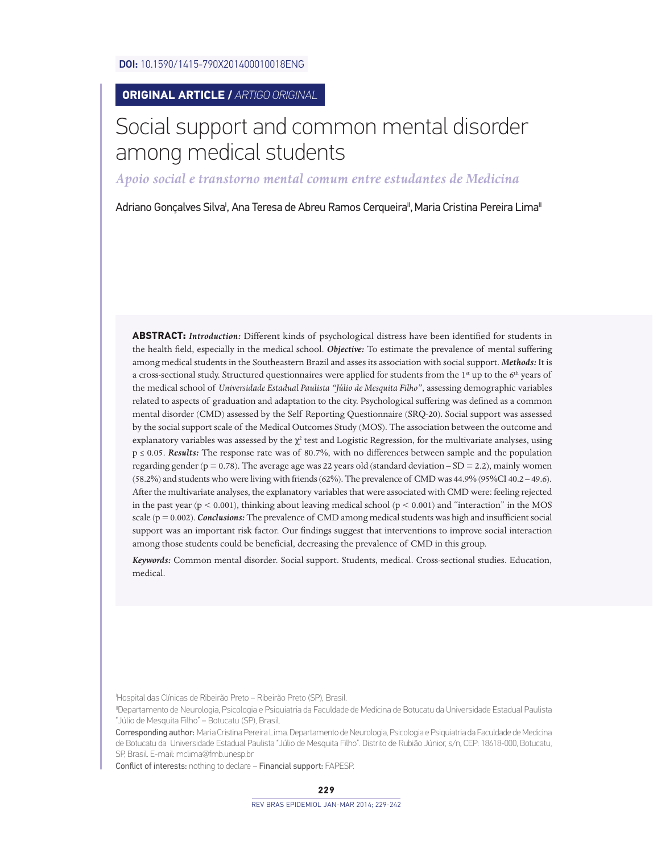#### **ORIGINAL ARTICLE /** *Artigo Original*

# Social support and common mental disorder among medical students

*Apoio social e transtorno mental comum entre estudantes de Medicina* 

Adriano Gonçalves Silva', Ana Teresa de Abreu Ramos Cerqueira", Maria Cristina Pereira Lima''

**Abstract:** *Introduction:* Different kinds of psychological distress have been identified for students in the health field, especially in the medical school. *Objective:* To estimate the prevalence of mental suffering among medical students in the Southeastern Brazil and asses its association with social support. *Methods:* It is a cross-sectional study. Structured questionnaires were applied for students from the  $1<sup>st</sup>$  up to the 6<sup>th</sup> years of the medical school of *Universidade Estadual Paulista "Júlio de Mesquita Filho"*, assessing demographic variables related to aspects of graduation and adaptation to the city. Psychological suffering was defined as a common mental disorder (CMD) assessed by the Self Reporting Questionnaire (SRQ-20). Social support was assessed by the social support scale of the Medical Outcomes Study (MOS). The association between the outcome and explanatory variables was assessed by the  $\chi^2$  test and Logistic Regression, for the multivariate analyses, using p ≤ 0.05. *Results:* The response rate was of 80.7%, with no differences between sample and the population regarding gender ( $p = 0.78$ ). The average age was 22 years old (standard deviation – SD = 2.2), mainly women (58.2%) and students who were living with friends (62%). The prevalence of CMD was 44.9% (95%CI 40.2 – 49.6). After the multivariate analyses, the explanatory variables that were associated with CMD were: feeling rejected in the past year ( $p < 0.001$ ), thinking about leaving medical school ( $p < 0.001$ ) and "interaction" in the MOS scale (p = 0.002). *Conclusions:* The prevalence of CMD among medical students was high and insufficient social support was an important risk factor. Our findings suggest that interventions to improve social interaction among those students could be beneficial, decreasing the prevalence of CMD in this group.

*Keywords:* Common mental disorder. Social support. Students, medical. Cross-sectional studies. Education, medical.

I Hospital das Clínicas de Ribeirão Preto – Ribeirão Preto (SP), Brasil.

IIDepartamento de Neurologia, Psicologia e Psiquiatria da Faculdade de Medicina de Botucatu da Universidade Estadual Paulista "Júlio de Mesquita Filho" – Botucatu (SP), Brasil.

Corresponding author: Maria Cristina Pereira Lima. Departamento de Neurologia, Psicologia e Psiquiatria da Faculdade de Medicina de Botucatu da Universidade Estadual Paulista "Júlio de Mesquita Filho". Distrito de Rubião Júnior, s/n, CEP: 18618-000, Botucatu, SP, Brasil. E-mail: mclima@fmb.unesp.br

Conflict of interests: nothing to declare – Financial support: FAPESP.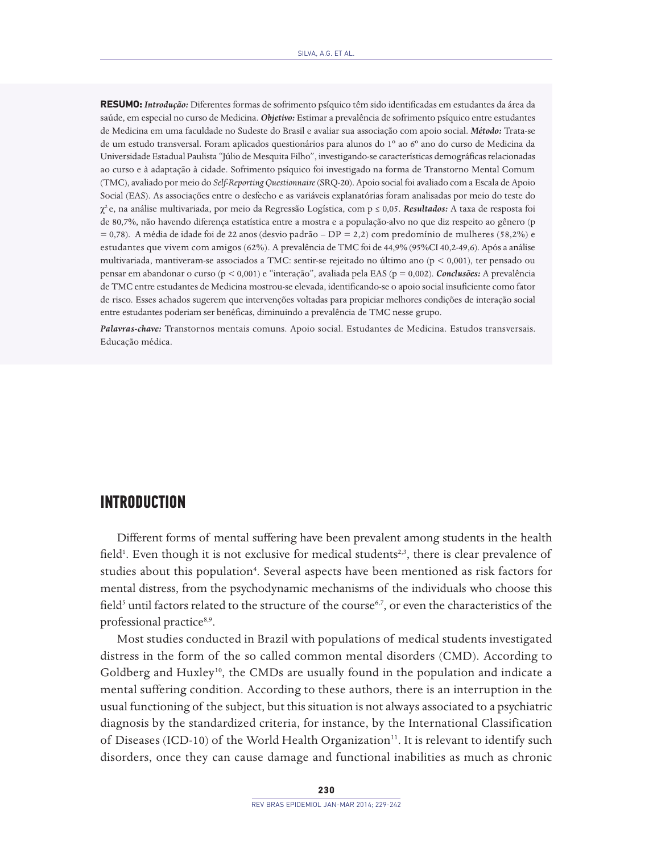**Resumo:** *Introdução:* Diferentes formas de sofrimento psíquico têm sido identificadas em estudantes da área da saúde, em especial no curso de Medicina. *Objetivo:* Estimar a prevalência de sofrimento psíquico entre estudantes de Medicina em uma faculdade no Sudeste do Brasil e avaliar sua associação com apoio social. *Método:* Trata-se de um estudo transversal. Foram aplicados questionários para alunos do 1º ao 6º ano do curso de Medicina da Universidade Estadual Paulista "Júlio de Mesquita Filho", investigando-se características demográficas relacionadas ao curso e à adaptação à cidade. Sofrimento psíquico foi investigado na forma de Transtorno Mental Comum (TMC), avaliado por meio do *Self-Reporting Questionnaire* (SRQ-20). Apoio social foi avaliado com a Escala de Apoio Social (EAS). As associações entre o desfecho e as variáveis explanatórias foram analisadas por meio do teste do χ2 e, na análise multivariada, por meio da Regressão Logística, com p ≤ 0,05. *Resultados:* A taxa de resposta foi de 80,7%, não havendo diferença estatística entre a mostra e a população-alvo no que diz respeito ao gênero (p  $= 0.78$ ). A média de idade foi de 22 anos (desvio padrão – DP = 2,2) com predomínio de mulheres (58,2%) e estudantes que vivem com amigos (62%). A prevalência de TMC foi de 44,9% (95%CI 40,2-49,6). Após a análise multivariada, mantiveram-se associados a TMC: sentir-se rejeitado no último ano (p < 0,001), ter pensado ou pensar em abandonar o curso (p < 0,001) e "interação", avaliada pela EAS (p = 0,002). *Conclusões:* A prevalência de TMC entre estudantes de Medicina mostrou-se elevada, identificando-se o apoio social insuficiente como fator de risco. Esses achados sugerem que intervenções voltadas para propiciar melhores condições de interação social entre estudantes poderiam ser benéficas, diminuindo a prevalência de TMC nesse grupo.

*Palavras-chave:* Transtornos mentais comuns. Apoio social. Estudantes de Medicina. Estudos transversais. Educação médica.

## **INTRODUCTION**

Different forms of mental suffering have been prevalent among students in the health field<sup>1</sup>. Even though it is not exclusive for medical students<sup>2,3</sup>, there is clear prevalence of studies about this population<sup>4</sup>. Several aspects have been mentioned as risk factors for mental distress, from the psychodynamic mechanisms of the individuals who choose this field<sup>5</sup> until factors related to the structure of the course<sup>6,7</sup>, or even the characteristics of the professional practice<sup>8,9</sup>.

Most studies conducted in Brazil with populations of medical students investigated distress in the form of the so called common mental disorders (CMD). According to Goldberg and Huxley<sup>10</sup>, the CMDs are usually found in the population and indicate a mental suffering condition. According to these authors, there is an interruption in the usual functioning of the subject, but this situation is not always associated to a psychiatric diagnosis by the standardized criteria, for instance, by the International Classification of Diseases (ICD-10) of the World Health Organization<sup>11</sup>. It is relevant to identify such disorders, once they can cause damage and functional inabilities as much as chronic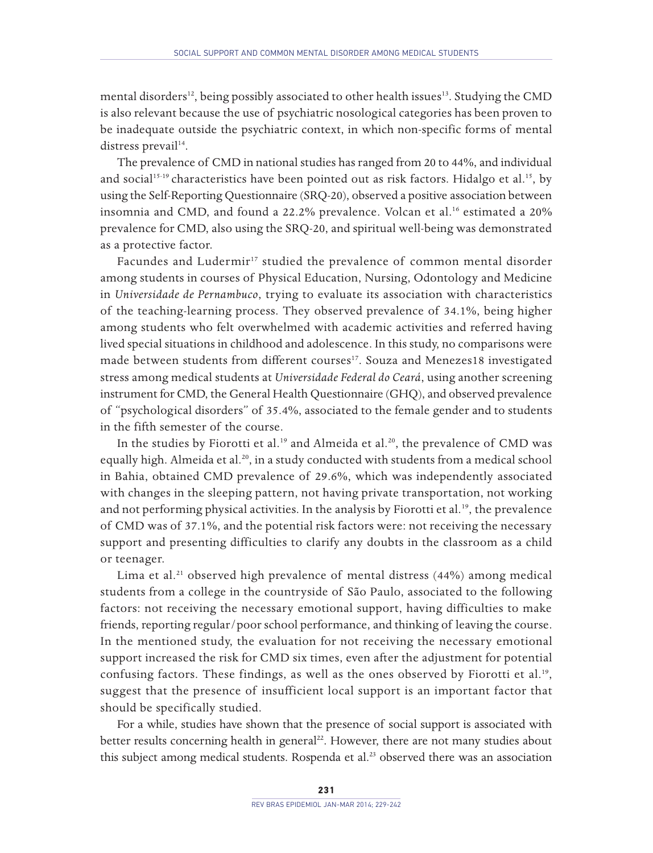mental disorders<sup>12</sup>, being possibly associated to other health issues<sup>13</sup>. Studying the CMD is also relevant because the use of psychiatric nosological categories has been proven to be inadequate outside the psychiatric context, in which non-specific forms of mental distress prevail<sup>14</sup>.

The prevalence of CMD in national studies has ranged from 20 to 44%, and individual and social<sup>15-19</sup> characteristics have been pointed out as risk factors. Hidalgo et al.<sup>15</sup>, by using the Self-Reporting Questionnaire (SRQ-20), observed a positive association between insomnia and CMD, and found a 22.2% prevalence. Volcan et al.<sup>16</sup> estimated a 20% prevalence for CMD, also using the SRQ-20, and spiritual well-being was demonstrated as a protective factor.

Facundes and Ludermir<sup>17</sup> studied the prevalence of common mental disorder among students in courses of Physical Education, Nursing, Odontology and Medicine in *Universidade de Pernambuco*, trying to evaluate its association with characteristics of the teaching-learning process. They observed prevalence of 34.1%, being higher among students who felt overwhelmed with academic activities and referred having lived special situations in childhood and adolescence. In this study, no comparisons were made between students from different courses<sup>17</sup>. Souza and Menezes18 investigated stress among medical students at *Universidade Federal do Ceará*, using another screening instrument for CMD, the General Health Questionnaire (GHQ), and observed prevalence of "psychological disorders" of 35.4%, associated to the female gender and to students in the fifth semester of the course.

In the studies by Fiorotti et al.<sup>19</sup> and Almeida et al.<sup>20</sup>, the prevalence of CMD was equally high. Almeida et al.<sup>20</sup>, in a study conducted with students from a medical school in Bahia, obtained CMD prevalence of 29.6%, which was independently associated with changes in the sleeping pattern, not having private transportation, not working and not performing physical activities. In the analysis by Fiorotti et al.<sup>19</sup>, the prevalence of CMD was of 37.1%, and the potential risk factors were: not receiving the necessary support and presenting difficulties to clarify any doubts in the classroom as a child or teenager.

Lima et al.<sup>21</sup> observed high prevalence of mental distress  $(44%)$  among medical students from a college in the countryside of São Paulo, associated to the following factors: not receiving the necessary emotional support, having difficulties to make friends, reporting regular/poor school performance, and thinking of leaving the course. In the mentioned study, the evaluation for not receiving the necessary emotional support increased the risk for CMD six times, even after the adjustment for potential confusing factors. These findings, as well as the ones observed by Fiorotti et al.<sup>19</sup>, suggest that the presence of insufficient local support is an important factor that should be specifically studied.

For a while, studies have shown that the presence of social support is associated with better results concerning health in general<sup>22</sup>. However, there are not many studies about this subject among medical students. Rospenda et al.<sup>23</sup> observed there was an association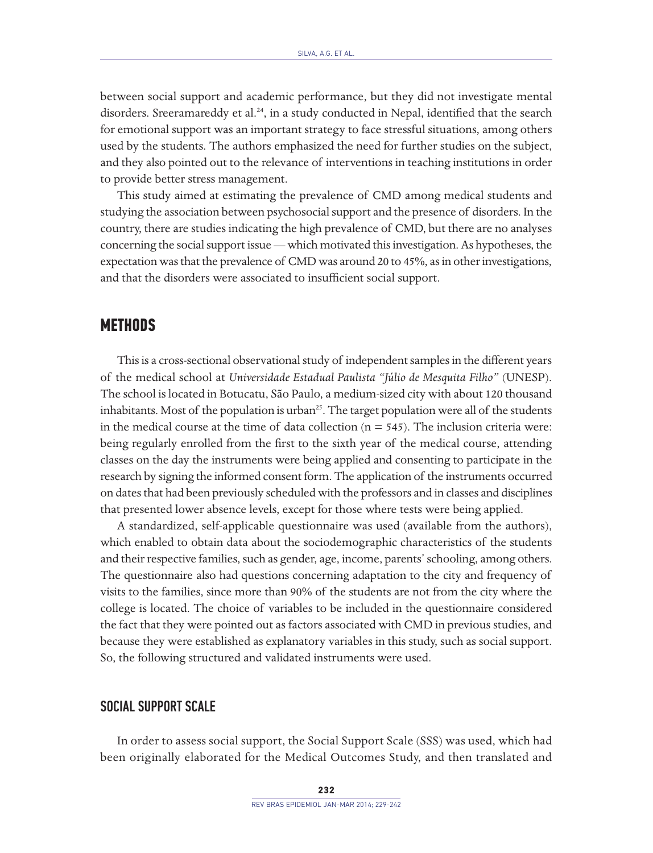between social support and academic performance, but they did not investigate mental disorders. Sreeramareddy et al.<sup>24</sup>, in a study conducted in Nepal, identified that the search for emotional support was an important strategy to face stressful situations, among others used by the students. The authors emphasized the need for further studies on the subject, and they also pointed out to the relevance of interventions in teaching institutions in order to provide better stress management.

This study aimed at estimating the prevalence of CMD among medical students and studying the association between psychosocial support and the presence of disorders. In the country, there are studies indicating the high prevalence of CMD, but there are no analyses concerning the social support issue — which motivated this investigation. As hypotheses, the expectation was that the prevalence of CMD was around 20 to 45%, as in other investigations, and that the disorders were associated to insufficient social support.

# **METHODS**

This is a cross-sectional observational study of independent samples in the different years of the medical school at *Universidade Estadual Paulista "Júlio de Mesquita Filho"* (UNESP). The school is located in Botucatu, São Paulo, a medium-sized city with about 120 thousand inhabitants. Most of the population is urban<sup>25</sup>. The target population were all of the students in the medical course at the time of data collection ( $n = 545$ ). The inclusion criteria were: being regularly enrolled from the first to the sixth year of the medical course, attending classes on the day the instruments were being applied and consenting to participate in the research by signing the informed consent form. The application of the instruments occurred on dates that had been previously scheduled with the professors and in classes and disciplines that presented lower absence levels, except for those where tests were being applied.

A standardized, self-applicable questionnaire was used (available from the authors), which enabled to obtain data about the sociodemographic characteristics of the students and their respective families, such as gender, age, income, parents' schooling, among others. The questionnaire also had questions concerning adaptation to the city and frequency of visits to the families, since more than 90% of the students are not from the city where the college is located. The choice of variables to be included in the questionnaire considered the fact that they were pointed out as factors associated with CMD in previous studies, and because they were established as explanatory variables in this study, such as social support. So, the following structured and validated instruments were used.

## Social Support Scale

In order to assess social support, the Social Support Scale (SSS) was used, which had been originally elaborated for the Medical Outcomes Study, and then translated and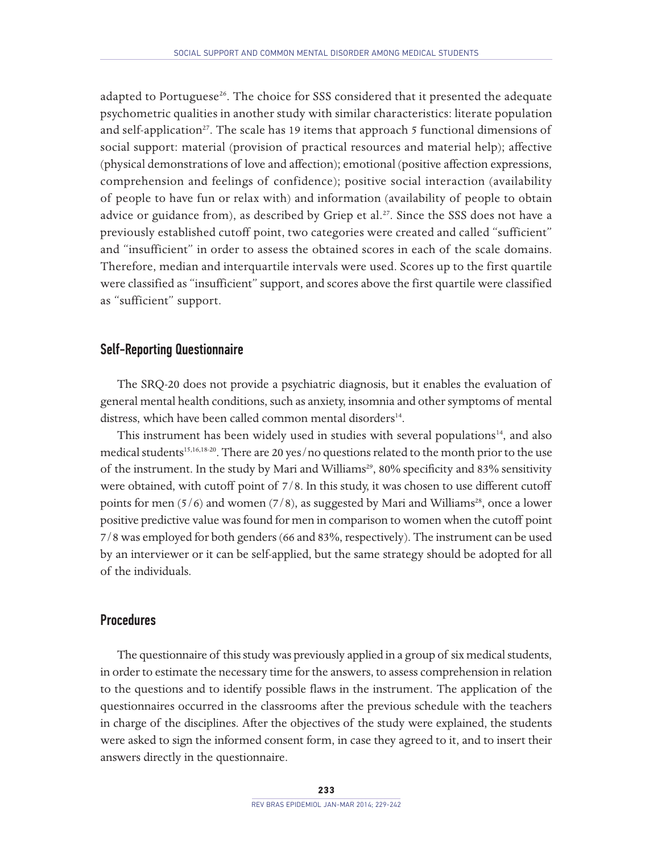adapted to Portuguese<sup>26</sup>. The choice for SSS considered that it presented the adequate psychometric qualities in another study with similar characteristics: literate population and self-application<sup>27</sup>. The scale has 19 items that approach 5 functional dimensions of social support: material (provision of practical resources and material help); affective (physical demonstrations of love and affection); emotional (positive affection expressions, comprehension and feelings of confidence); positive social interaction (availability of people to have fun or relax with) and information (availability of people to obtain advice or guidance from), as described by Griep et al.<sup>27</sup>. Since the SSS does not have a previously established cutoff point, two categories were created and called "sufficient" and "insufficient" in order to assess the obtained scores in each of the scale domains. Therefore, median and interquartile intervals were used. Scores up to the first quartile were classified as "insufficient" support, and scores above the first quartile were classified as "sufficient" support.

#### Self-Reporting Questionnaire

The SRQ-20 does not provide a psychiatric diagnosis, but it enables the evaluation of general mental health conditions, such as anxiety, insomnia and other symptoms of mental distress, which have been called common mental disorders<sup>14</sup>.

This instrument has been widely used in studies with several populations<sup>14</sup>, and also medical students<sup>15,16,18-20</sup>. There are 20 yes/no questions related to the month prior to the use of the instrument. In the study by Mari and Williams<sup>29</sup>, 80% specificity and 83% sensitivity were obtained, with cutoff point of 7/8. In this study, it was chosen to use different cutoff points for men  $(5/6)$  and women  $(7/8)$ , as suggested by Mari and Williams<sup>28</sup>, once a lower positive predictive value was found for men in comparison to women when the cutoff point 7/8 was employed for both genders (66 and 83%, respectively). The instrument can be used by an interviewer or it can be self-applied, but the same strategy should be adopted for all of the individuals.

## Procedures

The questionnaire of this study was previously applied in a group of six medical students, in order to estimate the necessary time for the answers, to assess comprehension in relation to the questions and to identify possible flaws in the instrument. The application of the questionnaires occurred in the classrooms after the previous schedule with the teachers in charge of the disciplines. After the objectives of the study were explained, the students were asked to sign the informed consent form, in case they agreed to it, and to insert their answers directly in the questionnaire.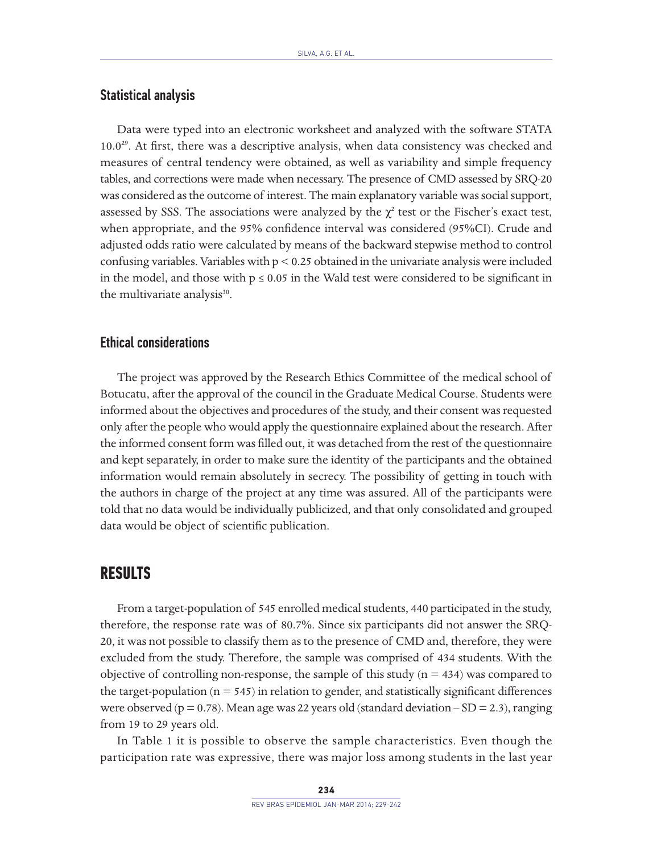#### Statistical analysis

Data were typed into an electronic worksheet and analyzed with the software STATA 10.029. At first, there was a descriptive analysis, when data consistency was checked and measures of central tendency were obtained, as well as variability and simple frequency tables, and corrections were made when necessary. The presence of CMD assessed by SRQ-20 was considered as the outcome of interest. The main explanatory variable was social support, assessed by SSS. The associations were analyzed by the  $\chi^2$  test or the Fischer's exact test, when appropriate, and the 95% confidence interval was considered (95%CI). Crude and adjusted odds ratio were calculated by means of the backward stepwise method to control confusing variables. Variables with  $p < 0.25$  obtained in the univariate analysis were included in the model, and those with  $p \le 0.05$  in the Wald test were considered to be significant in the multivariate analysis<sup>30</sup>.

## Ethical considerations

The project was approved by the Research Ethics Committee of the medical school of Botucatu, after the approval of the council in the Graduate Medical Course. Students were informed about the objectives and procedures of the study, and their consent was requested only after the people who would apply the questionnaire explained about the research. After the informed consent form was filled out, it was detached from the rest of the questionnaire and kept separately, in order to make sure the identity of the participants and the obtained information would remain absolutely in secrecy. The possibility of getting in touch with the authors in charge of the project at any time was assured. All of the participants were told that no data would be individually publicized, and that only consolidated and grouped data would be object of scientific publication.

## **Results**

From a target-population of 545 enrolled medical students, 440 participated in the study, therefore, the response rate was of 80.7%. Since six participants did not answer the SRQ-20, it was not possible to classify them as to the presence of CMD and, therefore, they were excluded from the study. Therefore, the sample was comprised of 434 students. With the objective of controlling non-response, the sample of this study ( $n = 434$ ) was compared to the target-population ( $n = 545$ ) in relation to gender, and statistically significant differences were observed ( $p = 0.78$ ). Mean age was 22 years old (standard deviation  $-SD = 2.3$ ), ranging from 19 to 29 years old.

In Table 1 it is possible to observe the sample characteristics. Even though the participation rate was expressive, there was major loss among students in the last year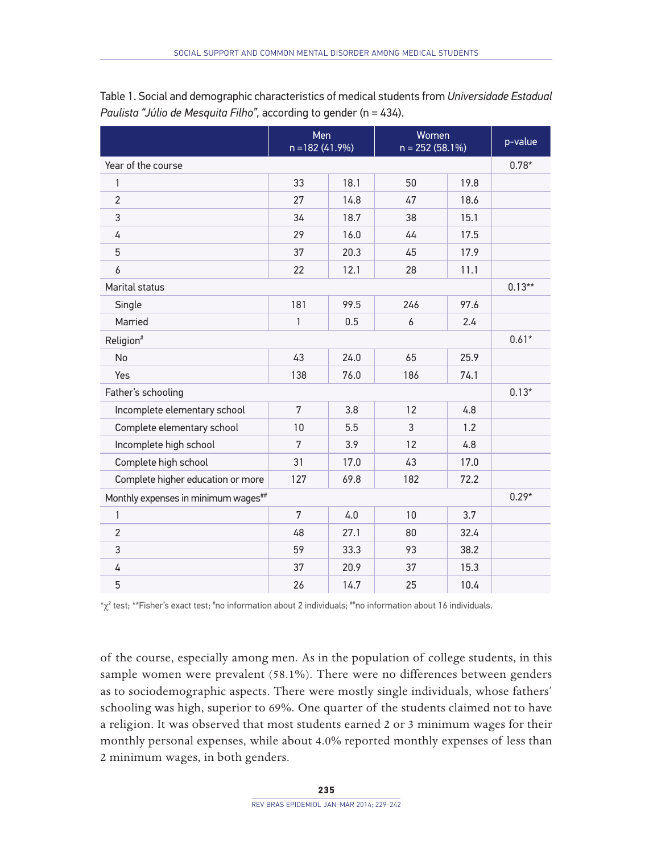|                                     | Men<br>$n = 182(41.9%)$ |      | Women<br>$n = 252(58.1%)$ |      | p-value  |
|-------------------------------------|-------------------------|------|---------------------------|------|----------|
| Year of the course                  |                         |      |                           |      | $0.78*$  |
| 1                                   | 33                      | 18.1 | 50                        | 19.8 |          |
| $\overline{2}$                      | 27                      | 14.8 | 47                        | 18.6 |          |
| 3                                   | 34                      | 18.7 | 38                        | 15.1 |          |
| 4                                   | 29                      | 16.0 | 44                        | 17.5 |          |
| 5                                   | 37                      | 20.3 | 45                        | 17.9 |          |
| 6                                   | 22                      | 12.1 | 28                        | 11.1 |          |
| Marital status                      |                         |      |                           |      | $0.13**$ |
| Single                              | 181                     | 99.5 | 246                       | 97.6 |          |
| Married                             | 1                       | 0.5  | 6                         | 2.4  |          |
| Religion <sup>#</sup>               |                         |      |                           |      | $0.61*$  |
| No                                  | 43                      | 24.0 | 65                        | 25.9 |          |
| Yes                                 | 138                     | 76.0 | 186                       | 74.1 |          |
| Father's schooling                  |                         |      |                           |      | $0.13*$  |
| Incomplete elementary school        | 7                       | 3.8  | 12                        | 4.8  |          |
| Complete elementary school          | 10                      | 5.5  | 3                         | 1.2  |          |
| Incomplete high school              | 7                       | 3.9  | 12                        | 4.8  |          |
| Complete high school                | 31                      | 17.0 | 43                        | 17.0 |          |
| Complete higher education or more   | 127                     | 69.8 | 182                       | 72.2 |          |
| Monthly expenses in minimum wages## |                         |      |                           |      | $0.29*$  |
| 1                                   | 7                       | 4.0  | 10                        | 3.7  |          |
| $\overline{2}$                      | 48                      | 27.1 | 80                        | 32.4 |          |
| 3                                   | 59                      | 33.3 | 93                        | 38.2 |          |
| 4                                   | 37                      | 20.9 | 37                        | 15.3 |          |
| 5                                   | 26                      | 14.7 | 25                        | 10.4 |          |

Table 1. Social and demographic characteristics of medical students from *Universidade Estadual Paulista "Júlio de Mesquita Filho"*, according to gender (n = 434).

 $^*\chi^2$  test; \*\*Fisher's exact test; #no information about 2 individuals; ##no information about 16 individuals.

of the course, especially among men. As in the population of college students, in this sample women were prevalent (58.1%). There were no differences between genders as to sociodemographic aspects. There were mostly single individuals, whose fathers' schooling was high, superior to 69%. One quarter of the students claimed not to have a religion. It was observed that most students earned 2 or 3 minimum wages for their monthly personal expenses, while about 4.0% reported monthly expenses of less than 2 minimum wages, in both genders.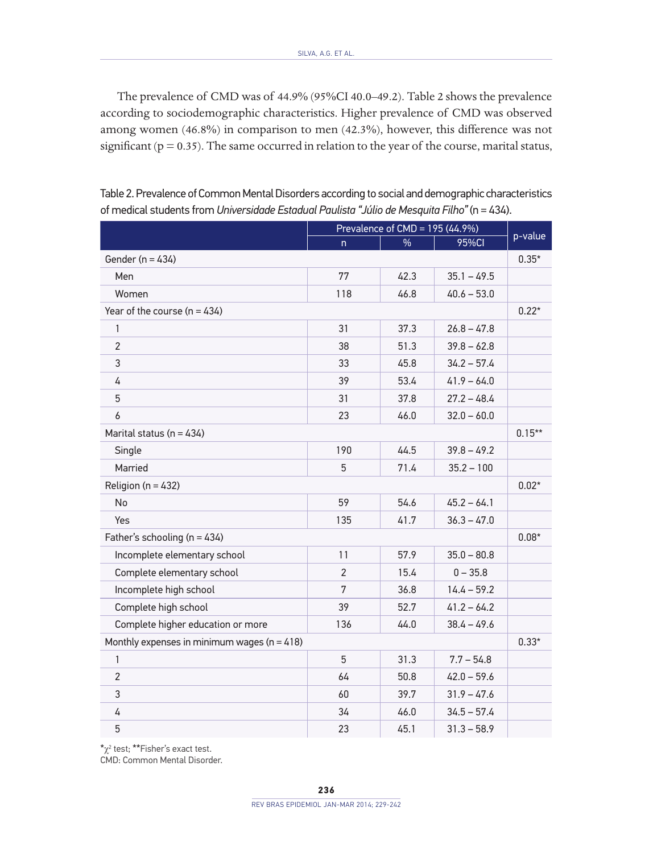The prevalence of CMD was of 44.9% (95%CI 40.0–49.2). Table 2 shows the prevalence according to sociodemographic characteristics. Higher prevalence of CMD was observed among women (46.8%) in comparison to men (42.3%), however, this difference was not significant ( $p = 0.35$ ). The same occurred in relation to the year of the course, marital status,

|                                                 | Prevalence of CMD = $195(44.9%)$ |      |               |          |
|-------------------------------------------------|----------------------------------|------|---------------|----------|
|                                                 | n                                | $\%$ | 95%CI         | p-value  |
| Gender ( $n = 434$ )                            |                                  |      |               | $0.35*$  |
| Men                                             | 77                               | 42.3 | $35.1 - 49.5$ |          |
| Women                                           | 118                              | 46.8 | $40.6 - 53.0$ |          |
| Year of the course ( $n = 434$ )                |                                  |      |               | $0.22*$  |
| 1                                               | 31                               | 37.3 | $26.8 - 47.8$ |          |
| $\overline{2}$                                  | 38                               | 51.3 | $39.8 - 62.8$ |          |
| 3                                               | 33                               | 45.8 | $34.2 - 57.4$ |          |
| 4                                               | 39                               | 53.4 | $41.9 - 64.0$ |          |
| 5                                               | 31                               | 37.8 | $27.2 - 48.4$ |          |
| $\overline{6}$                                  | 23                               | 46.0 | $32.0 - 60.0$ |          |
| Marital status ( $n = 434$ )                    |                                  |      |               | $0.15**$ |
| Single                                          | 190                              | 44.5 | $39.8 - 49.2$ |          |
| Married                                         | 5                                | 71.4 | $35.2 - 100$  |          |
| Religion ( $n = 432$ )                          |                                  |      |               | $0.02*$  |
| No                                              | 59                               | 54.6 | $45.2 - 64.1$ |          |
| Yes                                             | 135                              | 41.7 | $36.3 - 47.0$ |          |
| Father's schooling ( $n = 434$ )                |                                  |      |               | $0.08*$  |
| Incomplete elementary school                    | 11                               | 57.9 | $35.0 - 80.8$ |          |
| Complete elementary school                      | 2                                | 15.4 | $0 - 35.8$    |          |
| Incomplete high school                          | 7                                | 36.8 | $14.4 - 59.2$ |          |
| Complete high school                            | 39                               | 52.7 | $41.2 - 64.2$ |          |
| Complete higher education or more               | 136                              | 44.0 | $38.4 - 49.6$ |          |
| Monthly expenses in minimum wages ( $n = 418$ ) |                                  |      |               |          |
| 1                                               | 5                                | 31.3 | $7.7 - 54.8$  |          |
| $\overline{2}$                                  | 64                               | 50.8 | $42.0 - 59.6$ |          |
| 3                                               | 60                               | 39.7 | $31.9 - 47.6$ |          |
| 4                                               | 34                               | 46.0 | $34.5 - 57.4$ |          |
| 5                                               | 23                               | 45.1 | $31.3 - 58.9$ |          |

Table 2. Prevalence of Common Mental Disorders according to social and demographic characteristics of medical students from *Universidade Estadual Paulista "Júlio de Mesquita Filho"* (n = 434).

 $\star_{\chi^2}$  test;  $\star\star$ Fisher's exact test.

CMD: Common Mental Disorder.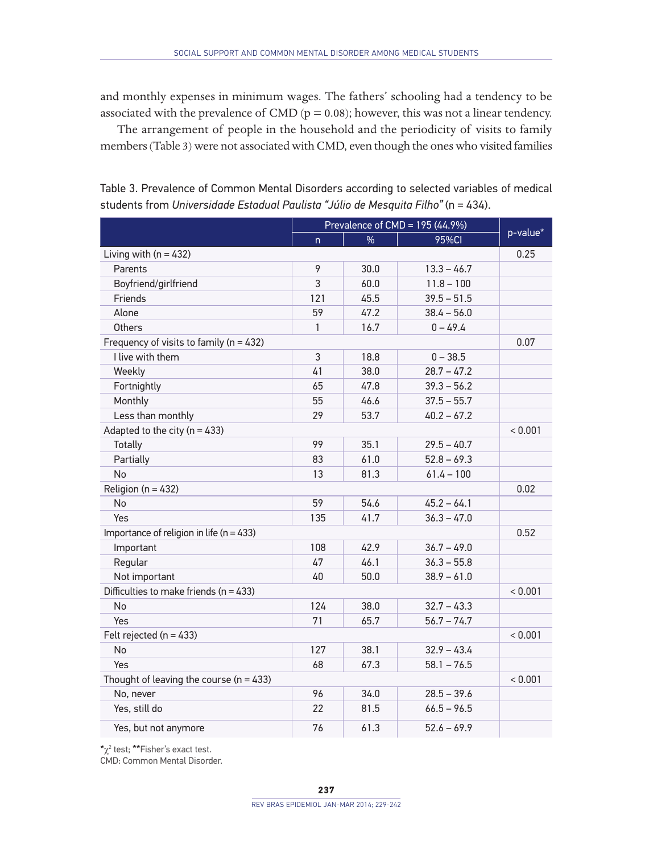and monthly expenses in minimum wages. The fathers' schooling had a tendency to be associated with the prevalence of CMD ( $p = 0.08$ ); however, this was not a linear tendency.

The arrangement of people in the household and the periodicity of visits to family members (Table 3) were not associated with CMD, even though the ones who visited families

|                                              | Prevalence of CMD = 195 (44.9%) |               |               |          |  |  |
|----------------------------------------------|---------------------------------|---------------|---------------|----------|--|--|
|                                              | n                               | $\frac{0}{0}$ | <b>95%CI</b>  | p-value* |  |  |
| Living with $(n = 432)$                      |                                 |               |               | 0.25     |  |  |
| Parents                                      | 9                               | 30.0          | $13.3 - 46.7$ |          |  |  |
| Boyfriend/girlfriend                         | 3                               | 60.0          | $11.8 - 100$  |          |  |  |
| Friends                                      | 121                             | 45.5          | $39.5 - 51.5$ |          |  |  |
| Alone                                        | 59                              | 47.2          | $38.4 - 56.0$ |          |  |  |
| <b>Others</b>                                | 1                               | 16.7          | $0 - 49.4$    |          |  |  |
| Frequency of visits to family ( $n = 432$ )  |                                 |               |               | 0.07     |  |  |
| I live with them                             | 3                               | 18.8          | $0 - 38.5$    |          |  |  |
| Weekly                                       | 41                              | 38.0          | $28.7 - 47.2$ |          |  |  |
| Fortnightly                                  | 65                              | 47.8          | $39.3 - 56.2$ |          |  |  |
| Monthly                                      | 55                              | 46.6          | $37.5 - 55.7$ |          |  |  |
| Less than monthly                            | 29                              | 53.7          | $40.2 - 67.2$ |          |  |  |
| Adapted to the city ( $n = 433$ )            |                                 |               |               | < 0.001  |  |  |
| Totally                                      | 99                              | 35.1          | $29.5 - 40.7$ |          |  |  |
| Partially                                    | 83                              | 61.0          | $52.8 - 69.3$ |          |  |  |
| <b>No</b>                                    | 13                              | 81.3          | $61.4 - 100$  |          |  |  |
| Religion ( $n = 432$ )                       |                                 |               |               |          |  |  |
| <b>No</b>                                    | 59                              | 54.6          | $45.2 - 64.1$ |          |  |  |
| Yes                                          | 135                             | 41.7          | $36.3 - 47.0$ |          |  |  |
| Importance of religion in life ( $n = 433$ ) |                                 |               |               |          |  |  |
| Important                                    | 108                             | 42.9          | $36.7 - 49.0$ |          |  |  |
| Regular                                      | 47                              | 46.1          | $36.3 - 55.8$ |          |  |  |
| Not important                                | 40                              | 50.0          | $38.9 - 61.0$ |          |  |  |
| Difficulties to make friends ( $n = 433$ )   |                                 |               |               | < 0.001  |  |  |
| No                                           | 124                             | 38.0          | $32.7 - 43.3$ |          |  |  |
| Yes                                          | 71                              | 65.7          | $56.7 - 74.7$ |          |  |  |
| Felt rejected ( $n = 433$ )                  |                                 |               |               |          |  |  |
| No                                           | 127                             | 38.1          | $32.9 - 43.4$ |          |  |  |
| Yes                                          | 68                              | 67.3          | $58.1 - 76.5$ |          |  |  |
| Thought of leaving the course ( $n = 433$ )  |                                 |               |               |          |  |  |
| No, never                                    | 96                              | 34.0          | $28.5 - 39.6$ |          |  |  |
| Yes, still do                                | 22                              | 81.5          | $66.5 - 96.5$ |          |  |  |
| Yes, but not anymore                         | 76                              | 61.3          | $52.6 - 69.9$ |          |  |  |

Table 3. Prevalence of Common Mental Disorders according to selected variables of medical students from *Universidade Estadual Paulista "Júlio de Mesquita Filho"* (n = 434).

 $\star_{\chi^2}$  test;  $\star\star$ Fisher's exact test.

CMD: Common Mental Disorder.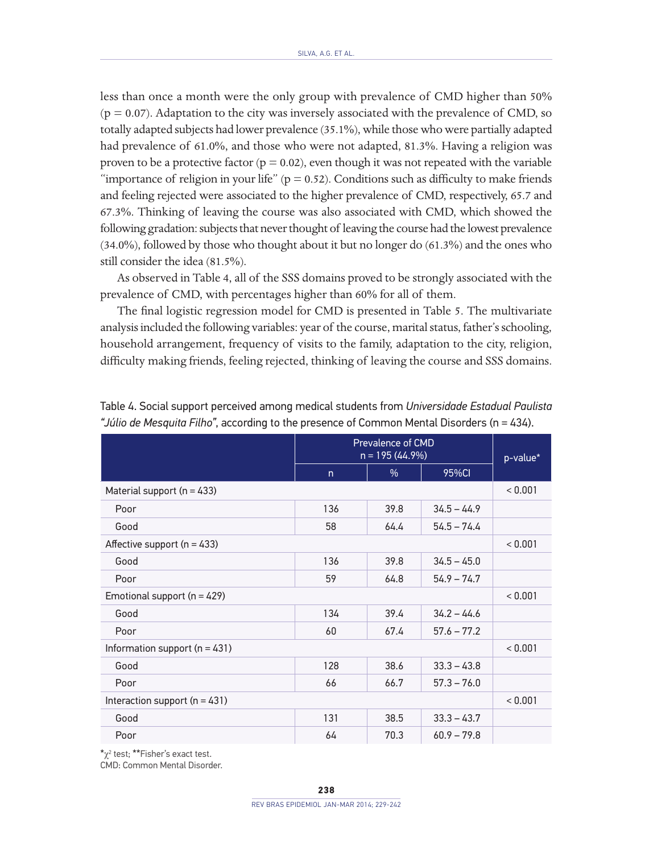less than once a month were the only group with prevalence of CMD higher than 50%  $(p = 0.07)$ . Adaptation to the city was inversely associated with the prevalence of CMD, so totally adapted subjects had lower prevalence (35.1%), while those who were partially adapted had prevalence of 61.0%, and those who were not adapted, 81.3%. Having a religion was proven to be a protective factor ( $p = 0.02$ ), even though it was not repeated with the variable "importance of religion in your life" ( $p = 0.52$ ). Conditions such as difficulty to make friends and feeling rejected were associated to the higher prevalence of CMD, respectively, 65.7 and 67.3%. Thinking of leaving the course was also associated with CMD, which showed the following gradation: subjects that never thought of leaving the course had the lowest prevalence (34.0%), followed by those who thought about it but no longer do (61.3%) and the ones who still consider the idea (81.5%).

As observed in Table 4, all of the SSS domains proved to be strongly associated with the prevalence of CMD, with percentages higher than 60% for all of them.

The final logistic regression model for CMD is presented in Table 5. The multivariate analysis included the following variables: year of the course, marital status, father's schooling, household arrangement, frequency of visits to the family, adaptation to the city, religion, difficulty making friends, feeling rejected, thinking of leaving the course and SSS domains.

|                                   | Prevalence of CMD<br>$n = 195(44.9%)$ |      |               | p-value* |
|-----------------------------------|---------------------------------------|------|---------------|----------|
|                                   | $\mathsf{n}$                          | %    | 95%CI         |          |
| Material support ( $n = 433$ )    |                                       |      |               |          |
| Poor                              | 136                                   | 39.8 | $34.5 - 44.9$ |          |
| Good                              | 58                                    | 64.4 | $54.5 - 74.4$ |          |
| Affective support ( $n = 433$ )   |                                       |      |               |          |
| Good                              | 136                                   | 39.8 | $34.5 - 45.0$ |          |
| Poor                              | 59                                    | 64.8 | $54.9 - 74.7$ |          |
| Emotional support ( $n = 429$ )   |                                       |      |               |          |
| Good                              | 134                                   | 39.4 | $34.2 - 44.6$ |          |
| Poor                              | 60                                    | 67.4 | $57.6 - 77.2$ |          |
| Information support ( $n = 431$ ) |                                       |      |               |          |
| Good                              | 128                                   | 38.6 | $33.3 - 43.8$ |          |
| Poor                              | 66                                    | 66.7 | $57.3 - 76.0$ |          |
| Interaction support ( $n = 431$ ) |                                       |      |               |          |
| Good                              | 131                                   | 38.5 | $33.3 - 43.7$ |          |
| Poor                              | 64                                    | 70.3 | $60.9 - 79.8$ |          |

Table 4. Social support perceived among medical students from *Universidade Estadual Paulista "Júlio de Mesquita Filho"*, according to the presence of Common Mental Disorders (n = 434).

 $\star_{\chi^2}$  test;  $\star\star$ Fisher's exact test.

CMD: Common Mental Disorder.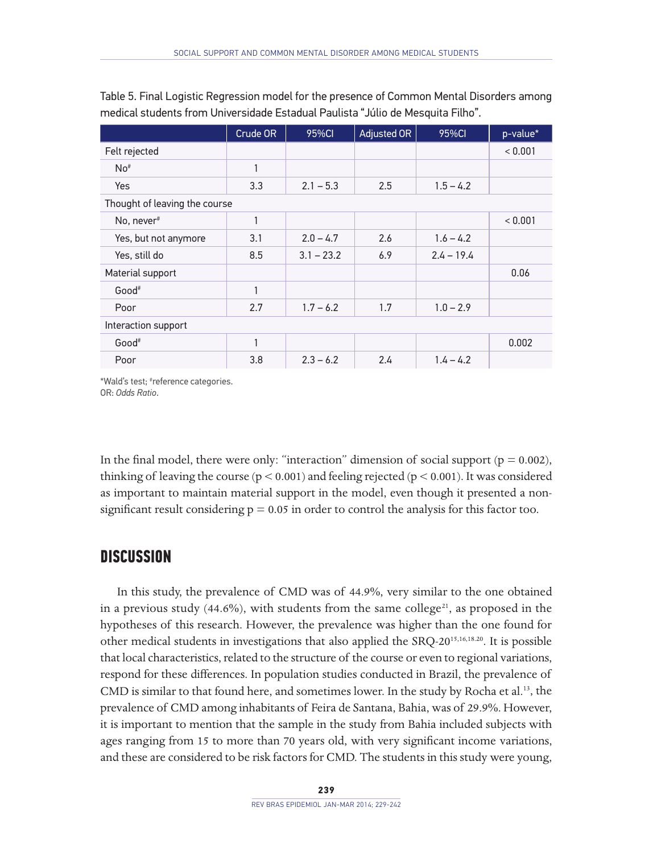|                               | Crude OR | 95%CI        | Adjusted OR | 95%CI        | p-value* |  |
|-------------------------------|----------|--------------|-------------|--------------|----------|--|
| Felt rejected                 |          |              |             |              | < 0.001  |  |
| No <sup>#</sup>               | 1        |              |             |              |          |  |
| <b>Yes</b>                    | 3.3      | $2.1 - 5.3$  | 2.5         | $1.5 - 4.2$  |          |  |
| Thought of leaving the course |          |              |             |              |          |  |
| No, never#                    | 1        |              |             |              | < 0.001  |  |
| Yes, but not anymore          | 3.1      | $2.0 - 4.7$  | 2.6         | $1.6 - 4.2$  |          |  |
| Yes, still do                 | 8.5      | $3.1 - 23.2$ | 6.9         | $2.4 - 19.4$ |          |  |
| Material support              |          |              |             |              | 0.06     |  |
| Good <sup>#</sup>             | 1        |              |             |              |          |  |
| Poor                          | 2.7      | $1.7 - 6.2$  | 1.7         | $1.0 - 2.9$  |          |  |
| Interaction support           |          |              |             |              |          |  |
| Good <sup>#</sup>             | 1        |              |             |              | 0.002    |  |
| Poor                          | 3.8      | $2.3 - 6.2$  | 2.4         | $1.4 - 4.2$  |          |  |

Table 5. Final Logistic Regression model for the presence of Common Mental Disorders among medical students from Universidade Estadual Paulista "Júlio de Mesquita Filho".

\*Wald's test; # reference categories. OR: *Odds Ratio*.

In the final model, there were only: "interaction" dimension of social support ( $p = 0.002$ ), thinking of leaving the course ( $p < 0.001$ ) and feeling rejected ( $p < 0.001$ ). It was considered as important to maintain material support in the model, even though it presented a nonsignificant result considering  $p = 0.05$  in order to control the analysis for this factor too.

## **DiscussIon**

In this study, the prevalence of CMD was of 44.9%, very similar to the one obtained in a previous study  $(44.6\%)$ , with students from the same college<sup>21</sup>, as proposed in the hypotheses of this research. However, the prevalence was higher than the one found for other medical students in investigations that also applied the SRQ-20<sup>15,16,18,20</sup>. It is possible that local characteristics, related to the structure of the course or even to regional variations, respond for these differences. In population studies conducted in Brazil, the prevalence of CMD is similar to that found here, and sometimes lower. In the study by Rocha et al.<sup>13</sup>, the prevalence of CMD among inhabitants of Feira de Santana, Bahia, was of 29.9%. However, it is important to mention that the sample in the study from Bahia included subjects with ages ranging from 15 to more than 70 years old, with very significant income variations, and these are considered to be risk factors for CMD. The students in this study were young,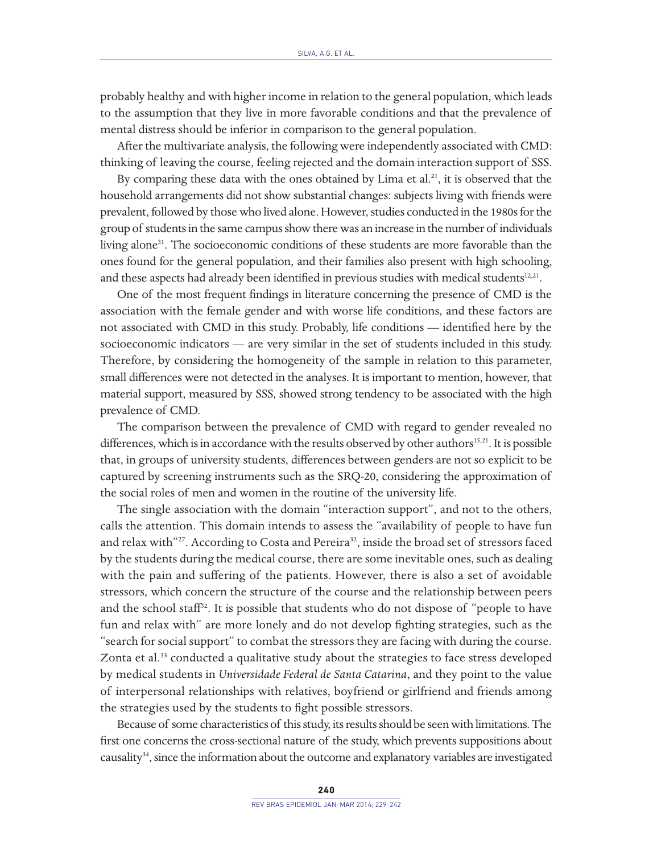probably healthy and with higher income in relation to the general population, which leads to the assumption that they live in more favorable conditions and that the prevalence of mental distress should be inferior in comparison to the general population.

After the multivariate analysis, the following were independently associated with CMD: thinking of leaving the course, feeling rejected and the domain interaction support of SSS.

By comparing these data with the ones obtained by Lima et al. $21$ , it is observed that the household arrangements did not show substantial changes: subjects living with friends were prevalent, followed by those who lived alone. However, studies conducted in the 1980s for the group of students in the same campus show there was an increase in the number of individuals living alone<sup>31</sup>. The socioeconomic conditions of these students are more favorable than the ones found for the general population, and their families also present with high schooling, and these aspects had already been identified in previous studies with medical students $12.21$ .

One of the most frequent findings in literature concerning the presence of CMD is the association with the female gender and with worse life conditions, and these factors are not associated with CMD in this study. Probably, life conditions — identified here by the socioeconomic indicators — are very similar in the set of students included in this study. Therefore, by considering the homogeneity of the sample in relation to this parameter, small differences were not detected in the analyses. It is important to mention, however, that material support, measured by SSS, showed strong tendency to be associated with the high prevalence of CMD.

The comparison between the prevalence of CMD with regard to gender revealed no differences, which is in accordance with the results observed by other authors<sup>15,21</sup>. It is possible that, in groups of university students, differences between genders are not so explicit to be captured by screening instruments such as the SRQ-20, considering the approximation of the social roles of men and women in the routine of the university life.

The single association with the domain "interaction support", and not to the others, calls the attention. This domain intends to assess the "availability of people to have fun and relax with"<sup>27</sup>. According to Costa and Pereira<sup>32</sup>, inside the broad set of stressors faced by the students during the medical course, there are some inevitable ones, such as dealing with the pain and suffering of the patients. However, there is also a set of avoidable stressors, which concern the structure of the course and the relationship between peers and the school staff<sup>32</sup>. It is possible that students who do not dispose of "people to have fun and relax with" are more lonely and do not develop fighting strategies, such as the "search for social support" to combat the stressors they are facing with during the course. Zonta et al.<sup>33</sup> conducted a qualitative study about the strategies to face stress developed by medical students in *Universidade Federal de Santa Catarina*, and they point to the value of interpersonal relationships with relatives, boyfriend or girlfriend and friends among the strategies used by the students to fight possible stressors.

Because of some characteristics of this study, its results should be seen with limitations. The first one concerns the cross-sectional nature of the study, which prevents suppositions about causality34, since the information about the outcome and explanatory variables are investigated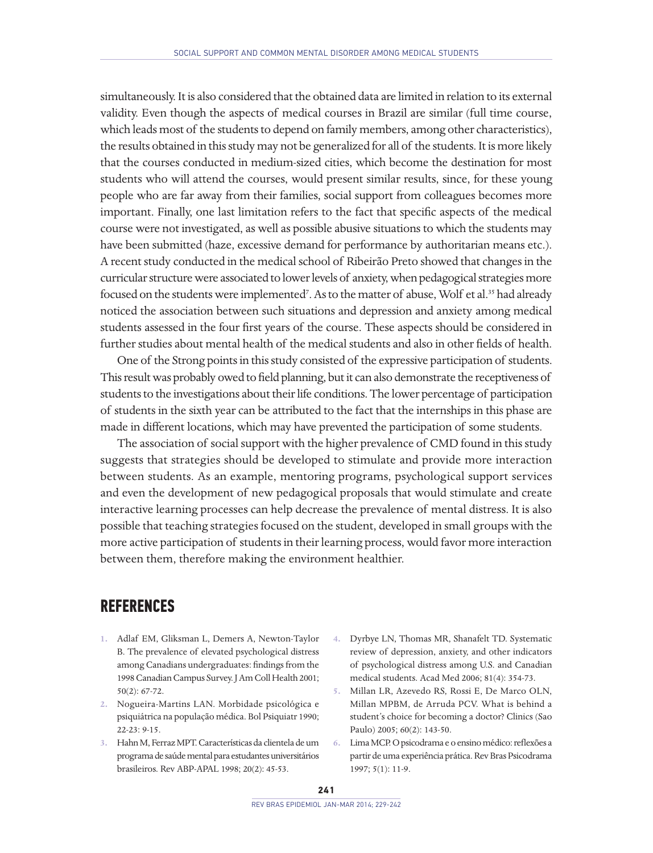simultaneously. It is also considered that the obtained data are limited in relation to its external validity. Even though the aspects of medical courses in Brazil are similar (full time course, which leads most of the students to depend on family members, among other characteristics), the results obtained in this study may not be generalized for all of the students. It is more likely that the courses conducted in medium-sized cities, which become the destination for most students who will attend the courses, would present similar results, since, for these young people who are far away from their families, social support from colleagues becomes more important. Finally, one last limitation refers to the fact that specific aspects of the medical course were not investigated, as well as possible abusive situations to which the students may have been submitted (haze, excessive demand for performance by authoritarian means etc.). A recent study conducted in the medical school of Ribeirão Preto showed that changes in the curricular structure were associated to lower levels of anxiety, when pedagogical strategies more focused on the students were implemented<sup>7</sup>. As to the matter of abuse, Wolf et al.<sup>35</sup> had already noticed the association between such situations and depression and anxiety among medical students assessed in the four first years of the course. These aspects should be considered in further studies about mental health of the medical students and also in other fields of health.

One of the Strong points in this study consisted of the expressive participation of students. This result was probably owed to field planning, but it can also demonstrate the receptiveness of students to the investigations about their life conditions. The lower percentage of participation of students in the sixth year can be attributed to the fact that the internships in this phase are made in different locations, which may have prevented the participation of some students.

The association of social support with the higher prevalence of CMD found in this study suggests that strategies should be developed to stimulate and provide more interaction between students. As an example, mentoring programs, psychological support services and even the development of new pedagogical proposals that would stimulate and create interactive learning processes can help decrease the prevalence of mental distress. It is also possible that teaching strategies focused on the student, developed in small groups with the more active participation of students in their learning process, would favor more interaction between them, therefore making the environment healthier.

# **ReferENCES**

- **1.** Adlaf EM, Gliksman L, Demers A, Newton-Taylor B. The prevalence of elevated psychological distress among Canadians undergraduates: findings from the 1998 Canadian Campus Survey. J Am Coll Health 2001; 50(2): 67-72.
- **2.** Nogueira-Martins LAN. Morbidade psicológica e psiquiátrica na população médica. Bol Psiquiatr 1990; 22-23: 9-15.
- **3.** Hahn M, Ferraz MPT. Características da clientela de um programa de saúde mental para estudantes universitários brasileiros. Rev ABP-APAL 1998; 20(2): 45-53.
- **4.** Dyrbye LN, Thomas MR, Shanafelt TD. Systematic review of depression, anxiety, and other indicators of psychological distress among U.S. and Canadian medical students. Acad Med 2006; 81(4): 354-73.
- **5.** Millan LR, Azevedo RS, Rossi E, De Marco OLN, Millan MPBM, de Arruda PCV. What is behind a student's choice for becoming a doctor? Clinics (Sao Paulo) 2005; 60(2): 143-50.
- **6.** Lima MCP. O psicodrama e o ensino médico: reflexões a partir de uma experiência prática. Rev Bras Psicodrama 1997; 5(1): 11-9.